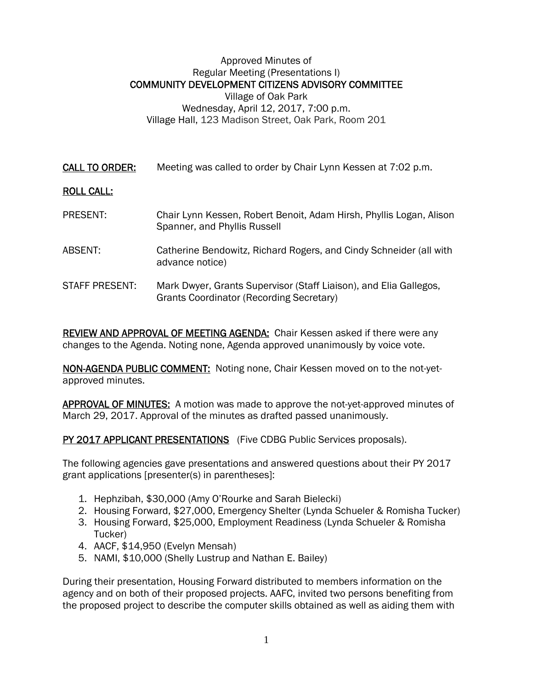## Approved Minutes of Regular Meeting (Presentations I) COMMUNITY DEVELOPMENT CITIZENS ADVISORY COMMITTEE Village of Oak Park Wednesday, April 12, 2017, 7:00 p.m. Village Hall, 123 Madison Street, Oak Park, Room 201

CALL TO ORDER: Meeting was called to order by Chair Lynn Kessen at 7:02 p.m.

## ROLL CALL:

- PRESENT: Chair Lynn Kessen, Robert Benoit, Adam Hirsh, Phyllis Logan, Alison Spanner, and Phyllis Russell
- ABSENT: Catherine Bendowitz, Richard Rogers, and Cindy Schneider (all with advance notice)
- STAFF PRESENT: Mark Dwyer, Grants Supervisor (Staff Liaison), and Elia Gallegos, Grants Coordinator (Recording Secretary)

REVIEW AND APPROVAL OF MEETING AGENDA: Chair Kessen asked if there were any changes to the Agenda. Noting none, Agenda approved unanimously by voice vote.

NON-AGENDA PUBLIC COMMENT: Noting none, Chair Kessen moved on to the not-yetapproved minutes.

**APPROVAL OF MINUTES:** A motion was made to approve the not-yet-approved minutes of March 29, 2017. Approval of the minutes as drafted passed unanimously.

## PY 2017 APPLICANT PRESENTATIONS (Five CDBG Public Services proposals).

The following agencies gave presentations and answered questions about their PY 2017 grant applications [presenter(s) in parentheses]:

- 1. Hephzibah, \$30,000 (Amy O'Rourke and Sarah Bielecki)
- 2. Housing Forward, \$27,000, Emergency Shelter (Lynda Schueler & Romisha Tucker)
- 3. Housing Forward, \$25,000, Employment Readiness (Lynda Schueler & Romisha Tucker)
- 4. AACF, \$14,950 (Evelyn Mensah)
- 5. NAMI, \$10,000 (Shelly Lustrup and Nathan E. Bailey)

During their presentation, Housing Forward distributed to members information on the agency and on both of their proposed projects. AAFC, invited two persons benefiting from the proposed project to describe the computer skills obtained as well as aiding them with